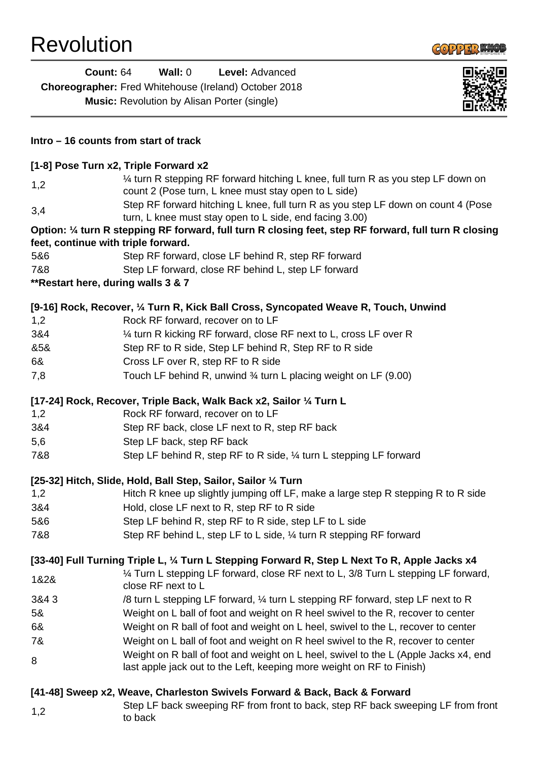

|      | <b>Count: 64</b><br>Wall: $0$<br>Level: Advanced<br>Choreographer: Fred Whitehouse (Ireland) October 2018<br><b>Music:</b> Revolution by Alisan Porter (single) |  |
|------|-----------------------------------------------------------------------------------------------------------------------------------------------------------------|--|
|      | Intro - 16 counts from start of track                                                                                                                           |  |
|      | [1-8] Pose Turn x2, Triple Forward x2                                                                                                                           |  |
| 1,2  | 1/4 turn R stepping RF forward hitching L knee, full turn R as you step LF down on<br>count 2 (Pose turn, L knee must stay open to L side)                      |  |
| 3,4  | Step RF forward hitching L knee, full turn R as you step LF down on count 4 (Pose<br>turn, L knee must stay open to L side, end facing 3.00)                    |  |
|      | Option: 1/4 turn R stepping RF forward, full turn R closing feet, step RF forward, full turn R closing                                                          |  |
| 5&6  | feet, continue with triple forward.<br>Step RF forward, close LF behind R, step RF forward                                                                      |  |
| 7&8  | Step LF forward, close RF behind L, step LF forward                                                                                                             |  |
|      | ** Restart here, during walls 3 & 7                                                                                                                             |  |
|      | [9-16] Rock, Recover, 1/4 Turn R, Kick Ball Cross, Syncopated Weave R, Touch, Unwind                                                                            |  |
| 1,2  | Rock RF forward, recover on to LF                                                                                                                               |  |
| 3&4  | 1/4 turn R kicking RF forward, close RF next to L, cross LF over R                                                                                              |  |
| &5&  | Step RF to R side, Step LF behind R, Step RF to R side                                                                                                          |  |
| 6&   | Cross LF over R, step RF to R side                                                                                                                              |  |
| 7,8  | Touch LF behind R, unwind 3/4 turn L placing weight on LF (9.00)                                                                                                |  |
|      | [17-24] Rock, Recover, Triple Back, Walk Back x2, Sailor 1/4 Turn L                                                                                             |  |
| 1,2  | Rock RF forward, recover on to LF                                                                                                                               |  |
| 3&4  | Step RF back, close LF next to R, step RF back                                                                                                                  |  |
| 5,6  | Step LF back, step RF back                                                                                                                                      |  |
| 7&8  | Step LF behind R, step RF to R side, 1/4 turn L stepping LF forward                                                                                             |  |
|      | [25-32] Hitch, Slide, Hold, Ball Step, Sailor, Sailor 1/4 Turn                                                                                                  |  |
| 1,2  | Hitch R knee up slightly jumping off LF, make a large step R stepping R to R side                                                                               |  |
| 3&4  | Hold, close LF next to R, step RF to R side                                                                                                                     |  |
| 5&6  | Step LF behind R, step RF to R side, step LF to L side                                                                                                          |  |
| 7&8  | Step RF behind L, step LF to L side, 1/4 turn R stepping RF forward                                                                                             |  |
|      | [33-40] Full Turning Triple L, 1/4 Turn L Stepping Forward R, Step L Next To R, Apple Jacks x4                                                                  |  |
| 1&2& | 1⁄4 Turn L stepping LF forward, close RF next to L, 3/8 Turn L stepping LF forward,<br>close RF next to L                                                       |  |
| 3&43 | /8 turn L stepping LF forward, 1/4 turn L stepping RF forward, step LF next to R                                                                                |  |
| 5&   | Weight on L ball of foot and weight on R heel swivel to the R, recover to center                                                                                |  |
| 6&   | Weight on R ball of foot and weight on L heel, swivel to the L, recover to center                                                                               |  |
| 7&   | Weight on L ball of foot and weight on R heel swivel to the R, recover to center                                                                                |  |
| 8    | Weight on R ball of foot and weight on L heel, swivel to the L (Apple Jacks x4, end<br>last apple jack out to the Left, keeping more weight on RF to Finish)    |  |
|      | [41-48] Sweep x2, Weave, Charleston Swivels Forward & Back, Back & Forward                                                                                      |  |
| 1,2  | Step LF back sweeping RF from front to back, step RF back sweeping LF from front<br>to back                                                                     |  |